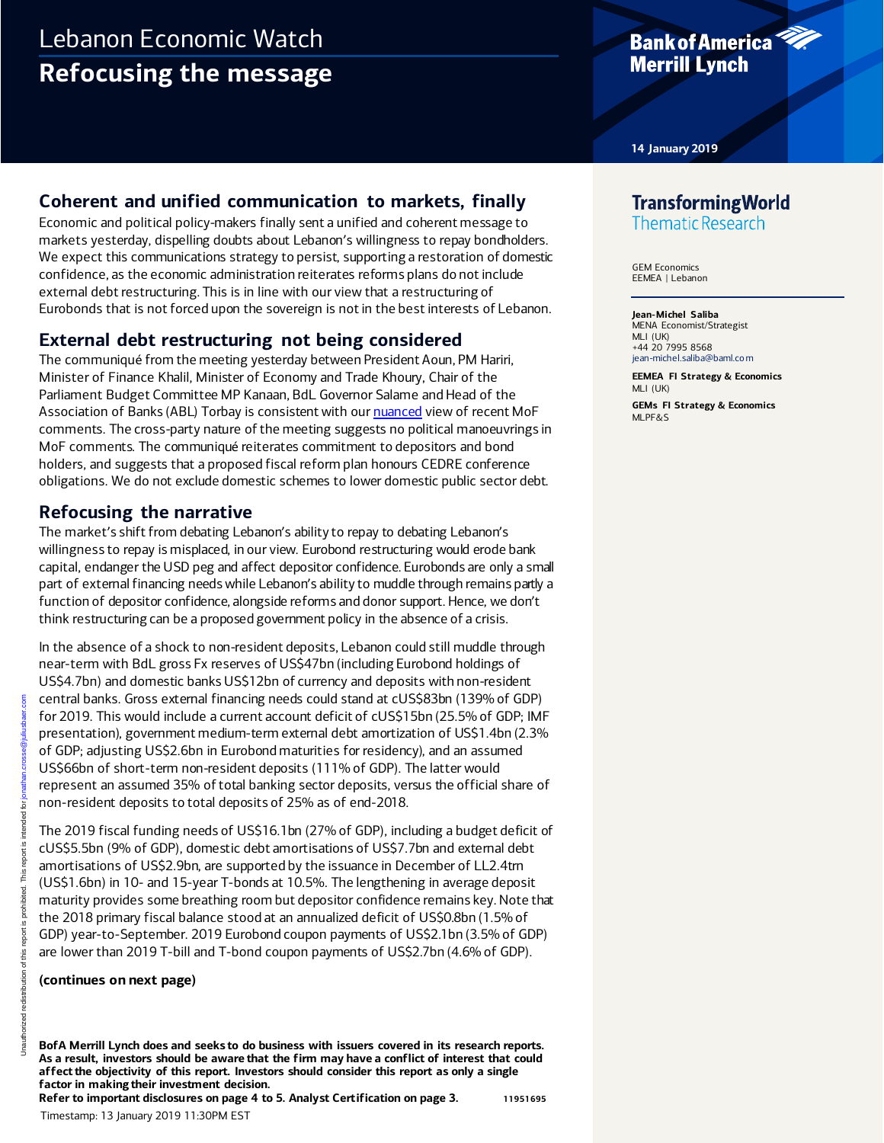# Lebanon Economic Watch **Refocusing the message**

## **Bank of America Merrill Lynch**

**14 January 2019**

## **Coherent and unified communication to markets, finally**

Economic and political policy-makers finally sent a unified and coherent message to markets yesterday, dispelling doubts about Lebanon's willingness to repay bondholders. We expect this communications strategy to persist, supporting a restoration of domestic confidence, as the economic administration reiterates reforms plans do not include external debt restructuring. This is in line with our view that a restructuring of Eurobonds that is not forced upon the sovereign is not in the best interests of Lebanon.

### **External debt restructuring not being considered**

The communiqué from the meeting yesterday between President Aoun, PM Hariri, Minister of Finance Khalil, Minister of Economy and Trade Khoury, Chair of the Parliament Budget Committee MP Kanaan, BdL Governor Salame and Head of the Association of Banks (ABL) Torbay is consistent with ou[r nuanced](http://rsch.baml.com/r?q=VXmA2diq3tkqn2vwuQm4lw&e=jean-michel.saliba%40baml.com&h=tdQDSA) view of recent MoF comments. The cross-party nature of the meeting suggests no political manoeuvrings in MoF comments. The communiqué reiterates commitment to depositors and bond holders, and suggests that a proposed fiscal reform plan honours CEDRE conference obligations. We do not exclude domestic schemes to lower domestic public sector debt.

### **Refocusing the narrative**

The market's shift from debating Lebanon's ability to repay to debating Lebanon's willingness to repay is misplaced, in our view. Eurobond restructuring would erode bank capital, endanger the USD peg and affect depositor confidence. Eurobonds are only a small part of external financing needs while Lebanon's ability to muddle through remains partly a function of depositor confidence, alongside reforms and donor support. Hence, we don't think restructuring can be a proposed government policy in the absence of a crisis.

In the absence of a shock to non-resident deposits, Lebanon could still muddle through near-term with BdL gross Fx reserves of US\$47bn (including Eurobond holdings of US\$4.7bn) and domestic banks US\$12bn of currency and deposits with non-resident central banks. Gross external financing needs could stand at cUS\$83bn (139% of GDP) for 2019. This would include a current account deficit of cUS\$15bn (25.5% of GDP; IMF presentation), government medium-term external debt amortization of US\$1.4bn (2.3% of GDP; adjusting US\$2.6bn in Eurobond maturities for residency), and an assumed US\$66bn of short-term non-resident deposits (111% of GDP). The latter would represent an assumed 35% of total banking sector deposits, versus the official share of non-resident deposits to total deposits of 25% as of end-2018.

The 2019 fiscal funding needs of US\$16.1bn (27% of GDP), including a budget deficit of cUS\$5.5bn (9% of GDP), domestic debt amortisations of US\$7.7bn and external debt amortisations of US\$2.9bn, are supported by the issuance in December of LL2.4trn (US\$1.6bn) in 10- and 15-year T-bonds at 10.5%. The lengthening in average deposit maturity provides some breathing room but depositor confidence remains key. Note that the 2018 primary fiscal balance stood at an annualized deficit of US\$0.8bn (1.5% of GDP) year-to-September. 2019 Eurobond coupon payments of US\$2.1bn (3.5% of GDP) are lower than 2019 T-bill and T-bond coupon payments of US\$2.7bn (4.6% of GDP). Timestamp: 13 January 2019 11:30PM EST Unauthorized redistribution of this report is prohibited. This report is intended for jonathan.crosse@juliusbaer.com

#### **(continues on next page)**

**BofA Merrill Lynch does and seeks to do business with issuers covered in its research reports. As a result, investors should be aware that the firm may have a conflict of interest that could affect the objectivity of this report. Investors should consider this report as only a single factor in making their investment decision.**

**Refer to important disclosures on page 4 to 5. Analyst Certification on page 3. 11951695**

# **Transforming World**

**Thematic Research** 

GEM Economics EEMEA | Lebanon

#### **Jean-Michel Saliba**

MENA Economist/Strategist MLI (UK) +44 20 7995 8568 [jean-michel.saliba@baml.co m](mailto:jean-michel.saliba@baml.com)

**EEMEA FI Strategy & Economics** MLI (UK) **GEMs FI Strategy & Economics** MLPF&S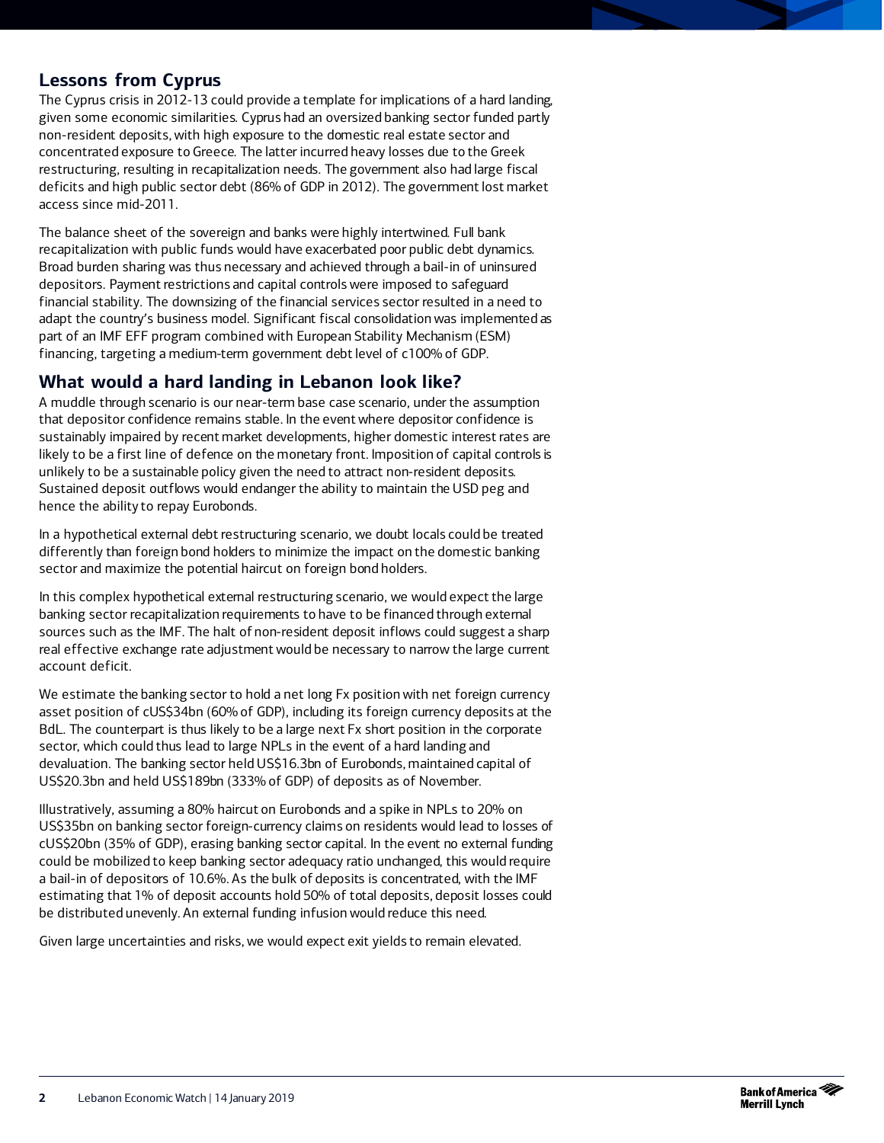### **Lessons from Cyprus**

The Cyprus crisis in 2012-13 could provide a template for implications of a hard landing, given some economic similarities. Cyprus had an oversized banking sector funded partly non-resident deposits, with high exposure to the domestic real estate sector and concentrated exposure to Greece. The latter incurred heavy losses due to the Greek restructuring, resulting in recapitalization needs. The government also had large fiscal deficits and high public sector debt (86% of GDP in 2012). The government lost market access since mid-2011.

The balance sheet of the sovereign and banks were highly intertwined. Full bank recapitalization with public funds would have exacerbated poor public debt dynamics. Broad burden sharing was thus necessary and achieved through a bail-in of uninsured depositors. Payment restrictions and capital controls were imposed to safeguard financial stability. The downsizing of the financial services sector resulted in a need to adapt the country's business model. Significant fiscal consolidation was implemented as part of an IMF EFF program combined with European Stability Mechanism (ESM) financing, targeting a medium-term government debt level of c100% of GDP.

### **What would a hard landing in Lebanon look like?**

A muddle through scenario is our near-term base case scenario, under the assumption that depositor confidence remains stable. In the event where depositor confidence is sustainably impaired by recent market developments, higher domestic interest rates are likely to be a first line of defence on the monetary front. Imposition of capital controls is unlikely to be a sustainable policy given the need to attract non-resident deposits. Sustained deposit outflows would endanger the ability to maintain the USD peg and hence the ability to repay Eurobonds.

In a hypothetical external debt restructuring scenario, we doubt locals could be treated differently than foreign bond holders to minimize the impact on the domestic banking sector and maximize the potential haircut on foreign bond holders.

In this complex hypothetical external restructuring scenario, we would expect the large banking sector recapitalization requirements to have to be financed through external sources such as the IMF. The halt of non-resident deposit inflows could suggest a sharp real effective exchange rate adjustment would be necessary to narrow the large current account deficit.

We estimate the banking sector to hold a net long Fx position with net foreign currency asset position of cUS\$34bn (60% of GDP), including its foreign currency deposits at the BdL. The counterpart is thus likely to be a large next Fx short position in the corporate sector, which could thus lead to large NPLs in the event of a hard landing and devaluation. The banking sector held US\$16.3bn of Eurobonds, maintained capital of US\$20.3bn and held US\$189bn (333% of GDP) of deposits as of November.

Illustratively, assuming a 80% haircut on Eurobonds and a spike in NPLs to 20% on US\$35bn on banking sector foreign-currency claims on residents would lead to losses of cUS\$20bn (35% of GDP), erasing banking sector capital. In the event no external funding could be mobilized to keep banking sector adequacy ratio unchanged, this would require a bail-in of depositors of 10.6%. As the bulk of deposits is concentrated, with the IMF estimating that 1% of deposit accounts hold 50% of total deposits, deposit losses could be distributed unevenly. An external funding infusion would reduce this need.

Given large uncertainties and risks, we would expect exit yields to remain elevated.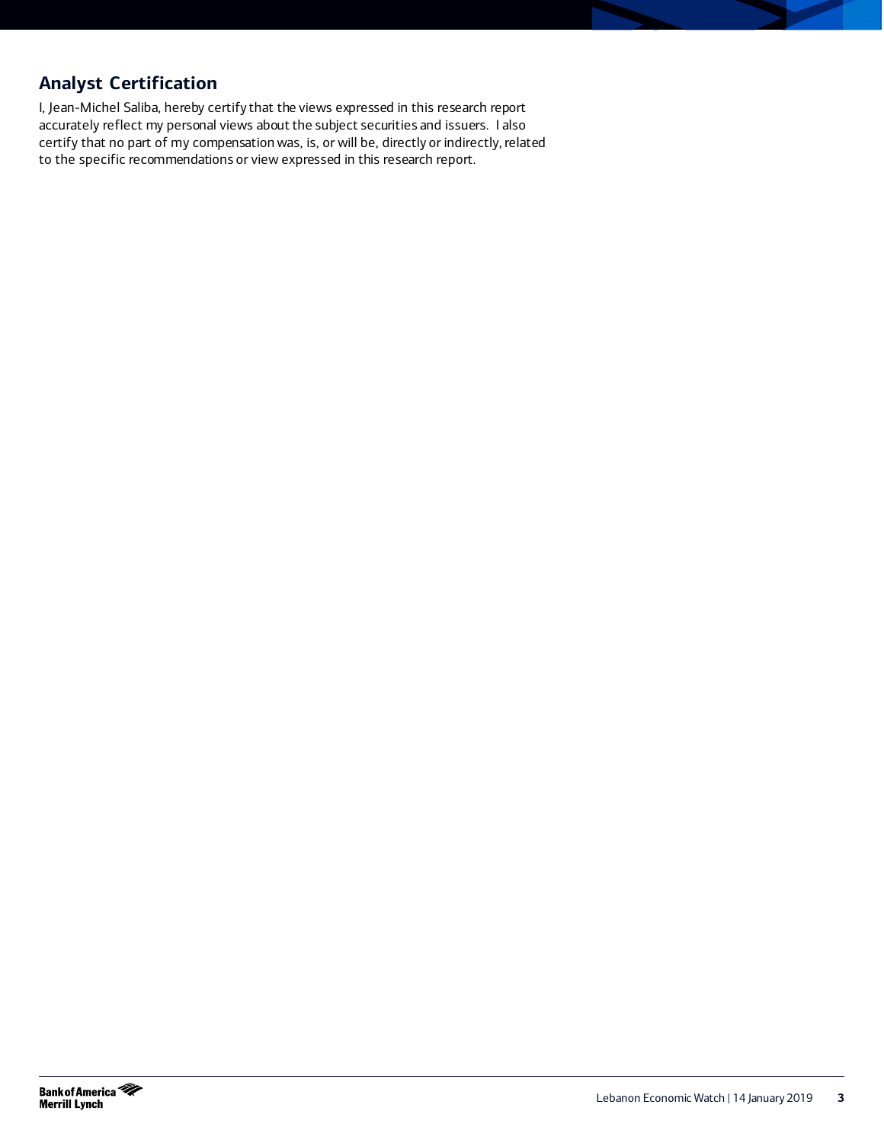## **Analyst Certification**

I, Jean-Michel Saliba, hereby certify that the views expressed in this research report accurately reflect my personal views about the subject securities and issuers. I also certify that no part of my compensation was, is, or will be, directly or indirectly, related to the specific recommendations or view expressed in this research report.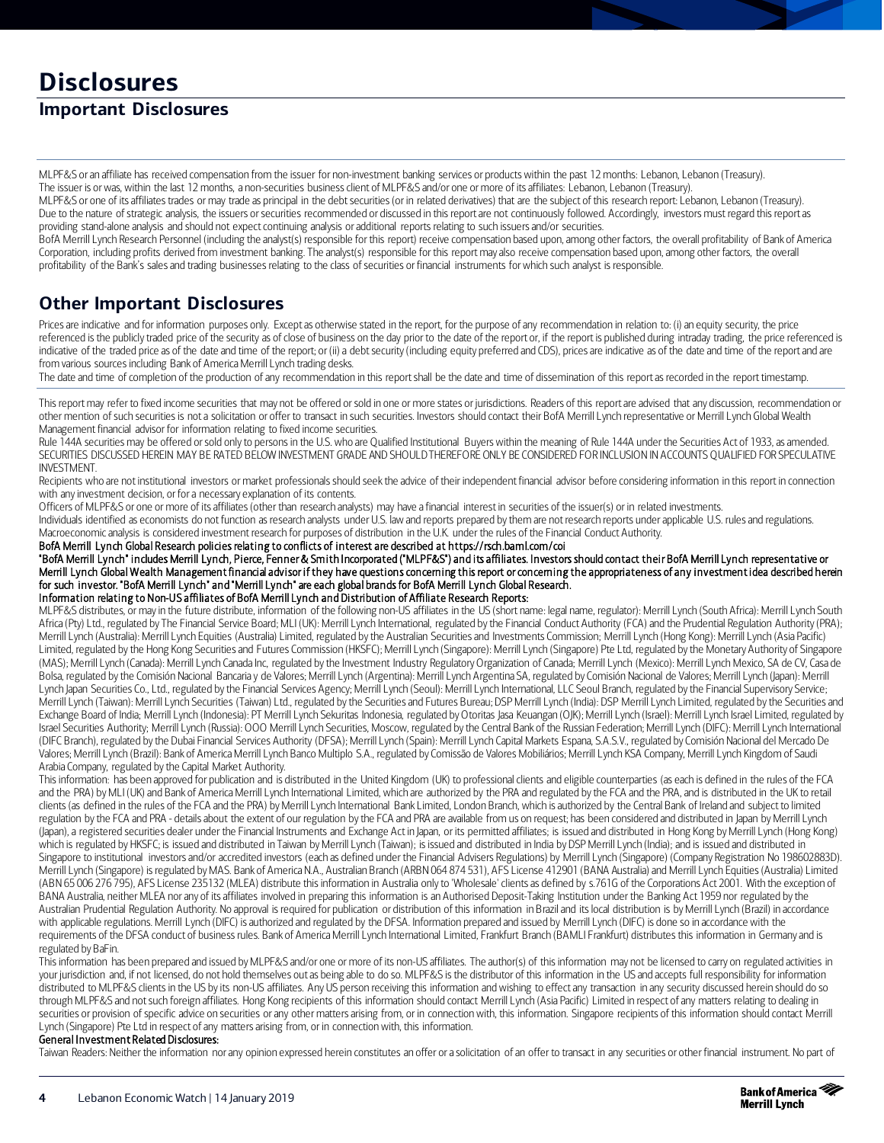# **Disclosures**

## **Important Disclosures**

MLPF&S or an affiliate has received compensation from the issuer for non-investment banking services or products within the past 12 months: Lebanon, Lebanon (Treasury). The issuer is or was, within the last 12 months, a non-securities business client of MLPF&S and/or one or more of its affiliates: Lebanon, Lebanon (Treasury).

MLPF&S or one of its affiliates trades or may trade as principal in the debt securities (or in related derivatives) that are the subject of this research report: Lebanon, Lebanon (Treasury). Due to the nature of strategic analysis, the issuers or securities recommended or discussed in this report are not continuously followed. Accordingly, investors must regard this report as providing stand-alone analysis and should not expect continuing analysis or additional reports relating to such issuers and/or securities.

BofA Merrill Lynch Research Personnel (including the analyst(s) responsible for this report) receive compensation based upon, among other factors, the overall profitability of Bank of America Corporation, including profits derived from investment banking. The analyst(s) responsible for this report may also receive compensation based upon, among other factors, the overall profitability of the Bank's sales and trading businesses relating to the class of securities or financial instruments for which such analyst is responsible.

### **Other Important Disclosures**

Prices are indicative and for information purposes only. Except as otherwise stated in the report, for the purpose of any recommendation in relation to: (i) an equity security, the price referenced is the publicly traded price of the security as of close of business on the day prior to the date of the report or, if the report is published during intraday trading, the price referenced is indicative of the traded price as of the date and time of the report; or (ii) a debt security (including equity preferred and CDS), prices are indicative as of the date and time of the report and are from various sources including Bank of America Merrill Lynch trading desks.

The date and time of completion of the production of any recommendation in this report shall be the date and time of dissemination of this report as recorded in the report timestamp.

This report may refer to fixed income securities that may not be offered or sold in one or more states or jurisdictions. Readers of this report are advised that any discussion, recommendation or other mention of such securities is not a solicitation or offer to transact in such securities. Investors should contact their BofA Merrill Lynch representative or Merrill Lynch Global Wealth Management financial advisor for information relating to fixed income securities.

Rule 144A securities may be offered or sold only to persons in the U.S. who are Qualified Institutional Buyers within the meaning of Rule 144A under the Securities Act of 1933, as amended. SECURITIES DISCUSSED HEREIN MAY BE RATED BELOW INVESTMENT GRADE AND SHOULD THEREFORE ONLY BE CONSIDERED FOR INCLUSION IN ACCOUNTS QUALIFIED FOR SPECULATIVE INVESTMENT.

Recipients who are not institutional investors or market professionals should seek the advice of their independent financial advisor before considering information in this report in connection with any investment decision, or for a necessary explanation of its contents.

Officers of MLPF&S or one or more of its affiliates (other than research analysts) may have a financial interest in securities of the issuer(s) or in related investments.

Individuals identified as economists do not function as research analysts under U.S. law and reports prepared by them are notresearch reports under applicable U.S. rules and regulations. Macroeconomic analysis is considered investment research for purposes of distribution in the U.K. under the rules of the Financial Conduct Authority.

BofA Merrill Lynch Global Research policies relating to conflicts of interest are described at https://rsch.baml.com/coi

"BofA Merrill Lynch" includes Merrill Lynch, Pierce, Fenner & Smith Incorporated ("MLPF&S") and its affiliates. Investors should contact their BofA Merrill Lynch representative or Merrill Lynch Global Wealth Management financial advisor if they have questions concerning this report or concerning the appropriateness of any investment idea described herein for such investor. "BofA Merrill Lynch" and "Merrill Lynch" are each global brands for BofA Merrill Lynch Global Research.

Information relating to Non-US affiliates of BofA Merrill Lynch and Distribution of Affiliate Research Reports:

MLPF&S distributes, or may in the future distribute, information of the following non-US affiliates in the US (short name: legal name, regulator): Merrill Lynch (South Africa): Merrill Lynch South Africa (Pty) Ltd., regulated by The Financial Service Board; MLI (UK): Merrill Lynch International, regulated by the Financial Conduct Authority (FCA) and the Prudential Regulation Authority (PRA); Merrill Lynch (Australia): Merrill Lynch Equities (Australia) Limited, regulated by the Australian Securities and Investments Commission; Merrill Lynch (Hong Kong): Merrill Lynch (Asia Pacific) Limited, regulated by the Hong Kong Securities and Futures Commission (HKSFC); Merrill Lynch (Singapore): Merrill Lynch (Singapore) Pte Ltd, regulated by the Monetary Authority of Singapore (MAS); Merrill Lynch (Canada): Merrill Lynch Canada Inc, regulated by the Investment Industry Regulatory Organization of Canada; Merrill Lynch (Mexico): Merrill Lynch Mexico, SA de CV, Casa de Bolsa, regulated by the Comisión Nacional Bancaria y de Valores; Merrill Lynch (Argentina): Merrill Lynch Argentina SA, regulated by Comisión Nacional de Valores; Merrill Lynch (Japan): Merrill Lynch Japan Securities Co., Ltd., regulated by the Financial Services Agency; Merrill Lynch (Seoul): Merrill Lynch International, LLC Seoul Branch, regulated by the Financial Supervisory Service; Merrill Lynch (Taiwan): Merrill Lynch Securities (Taiwan) Ltd., regulated by the Securities and Futures Bureau; DSP Merrill Lynch (India): DSP Merrill Lynch Limited, regulated by the Securities and Exchange Board of India; Merrill Lynch (Indonesia): PT Merrill Lynch Sekuritas Indonesia, regulated by Otoritas Jasa Keuangan (OJK); Merrill Lynch (Israel): Merrill Lynch Israel Limited, regulated by Israel Securities Authority; Merrill Lynch (Russia): OOO Merrill Lynch Securities, Moscow, regulated by the Central Bank of the Russian Federation; Merrill Lynch (DIFC): Merrill Lynch International (DIFC Branch), regulated by the Dubai Financial Services Authority (DFSA); Merrill Lynch (Spain): Merrill Lynch Capital Markets Espana, S.A.S.V., regulated by Comisión Nacional del Mercado De Valores; Merrill Lynch (Brazil): Bank of America Merrill Lynch Banco Multiplo S.A., regulated by Comissão de Valores Mobiliários; Merrill Lynch KSA Company, Merrill Lynch Kingdom of Saudi Arabia Company, regulated by the Capital Market Authority.

This information: has been approved for publication and is distributed in the United Kingdom (UK) to professional clients and eligible counterparties (as each is defined in the rules of the FCA and the PRA) by MLI (UK) and Bank of America Merrill Lynch International Limited, which are authorized by the PRA and regulated by the FCA and the PRA, and is distributed in the UK to retail clients (as defined in the rules of the FCA and the PRA) by Merrill Lynch International Bank Limited, London Branch, which is authorized by the Central Bank of Ireland and subject to limited regulation by the FCA and PRA - details about the extent of our regulation by the FCA and PRA are available from us on request; has been considered and distributed in Japan by Merrill Lynch (Japan), a registered securities dealer under the Financial Instruments and Exchange Act in Japan, or its permitted affiliates; is issued and distributed in Hong Kong by Merrill Lynch (Hong Kong) which is regulated by HKSFC; is issued and distributed in Taiwan by Merrill Lynch (Taiwan); is issued and distributed in India by DSP Merrill Lynch (India); and is issued and distributed in Singapore to institutional investors and/or accredited investors (each as defined under the Financial Advisers Regulations) by Merrill Lynch (Singapore) (Company Registration No 198602883D). Merrill Lynch (Singapore) is regulated by MAS. Bank of America N.A., Australian Branch (ARBN 064 874 531), AFS License 412901 (BANA Australia) and Merrill Lynch Equities (Australia) Limited (ABN 65 006 276 795), AFS License 235132 (MLEA) distribute this information in Australia only to 'Wholesale' clients as defined by s.761G of the Corporations Act 2001. With the exception of BANA Australia, neither MLEA nor any of its affiliates involved in preparing this information is an Authorised Deposit-Taking Institution under the Banking Act 1959 nor regulated by the Australian Prudential Regulation Authority. No approval is required for publication or distribution of this information in Brazil and its local distribution is by Merrill Lynch (Brazil) in accordance with applicable regulations. Merrill Lynch (DIFC) is authorized and regulated by the DFSA. Information prepared and issued by Merrill Lynch (DIFC) is done so in accordance with the requirements of the DFSA conduct of business rules. Bank of America Merrill Lynch International Limited, Frankfurt Branch (BAMLI Frankfurt) distributes this information in Germany and is regulated by BaFin.

This information has been prepared and issued by MLPF&S and/or one or more of its non-US affiliates. The author(s) of this information may not be licensed to carry on regulated activities in your jurisdiction and, if not licensed, do not hold themselves out as being able to do so. MLPF&S is the distributor of this information in the US and accepts full responsibility for information distributed to MLPF&S clients in the US by its non-US affiliates. Any US person receiving this information and wishing to effect any transaction in any security discussed herein should do so through MLPF&S and not such foreign affiliates. Hong Kong recipients of this information should contact Merrill Lynch (Asia Pacific) Limited in respect of any matters relating to dealing in securities or provision of specific advice on securities or any other matters arising from, or in connection with, this information. Singapore recipients of this information should contact Merrill Lynch (Singapore) Pte Ltd in respect of any matters arising from, or in connection with, this information.

#### General Investment Related Disclosures:

Taiwan Readers: Neither the information nor any opinion expressed herein constitutes an offer or a solicitation of an offer to transact in any securities or other financial instrument. No part of